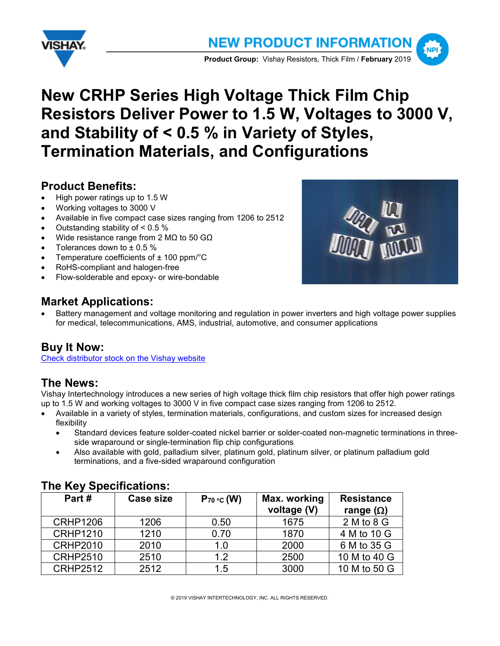



# **New CRHP Series High Voltage Thick Film Chip Resistors Deliver Power to 1.5 W, Voltages to 3000 V, and Stability of < 0.5 % in Variety of Styles, Termination Materials, and Configurations**

# **Product Benefits:**

- High power ratings up to 1.5 W
- Working voltages to 3000 V
- Available in five compact case sizes ranging from 1206 to 2512
- Outstanding stability of  $< 0.5$  %
- Wide resistance range from 2 MΩ to 50 GΩ
- Tolerances down to  $\pm$  0.5 %
- Temperature coefficients of  $± 100$  ppm/ $°C$
- RoHS-compliant and halogen-free
- Flow-solderable and epoxy- or wire-bondable

# **Market Applications:**



• Battery management and voltage monitoring and regulation in power inverters and high voltage power supplies for medical, telecommunications, AMS, industrial, automotive, and consumer applications

# **Buy It Now:**

[Check distributor stock on the Vishay website](http://www.vishay.com/search?query=crhp&type=inv)

## **The News:**

Vishay Intertechnology introduces a new series of high voltage thick film chip resistors that offer high power ratings up to 1.5 W and working voltages to 3000 V in five compact case sizes ranging from 1206 to 2512.

- Available in a variety of styles, termination materials, configurations, and custom sizes for increased design flexibility
	- Standard devices feature solder-coated nickel barrier or solder-coated non-magnetic terminations in threeside wraparound or single-termination flip chip configurations
	- Also available with gold, palladium silver, platinum gold, platinum silver, or platinum palladium gold terminations, and a five-sided wraparound configuration

| $11101107$ $0000110010010$ |                 |                             |                                       |
|----------------------------|-----------------|-----------------------------|---------------------------------------|
| <b>Case size</b>           | $P_{70}$ °c (W) | Max. working<br>voltage (V) | <b>Resistance</b><br>range $(\Omega)$ |
| 1206                       | 0.50            | 1675                        | $2M$ to $8G$                          |
| 1210                       | 0.70            | 1870                        | 4 M to 10 G                           |
| 2010                       | 1.0             | 2000                        | 6 M to 35 G                           |
| 2510                       | 1.2             | 2500                        | 10 M to 40 G                          |
| 2512                       | 1.5             | 3000                        | 10 M to 50 G                          |
|                            |                 |                             |                                       |

## **The Key Specifications:**